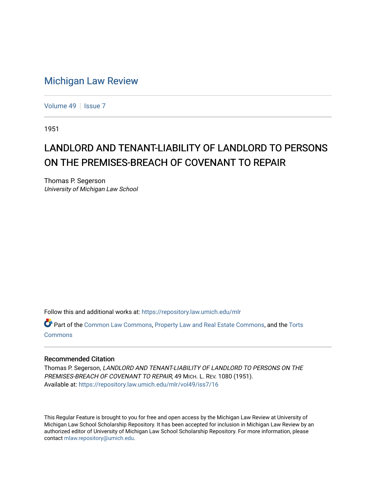## [Michigan Law Review](https://repository.law.umich.edu/mlr)

[Volume 49](https://repository.law.umich.edu/mlr/vol49) | [Issue 7](https://repository.law.umich.edu/mlr/vol49/iss7)

1951

## LANDLORD AND TENANT-LIABILITY OF LANDLORD TO PERSONS ON THE PREMISES-BREACH OF COVENANT TO REPAIR

Thomas P. Segerson University of Michigan Law School

Follow this and additional works at: [https://repository.law.umich.edu/mlr](https://repository.law.umich.edu/mlr?utm_source=repository.law.umich.edu%2Fmlr%2Fvol49%2Fiss7%2F16&utm_medium=PDF&utm_campaign=PDFCoverPages) 

Part of the [Common Law Commons,](https://network.bepress.com/hgg/discipline/1120?utm_source=repository.law.umich.edu%2Fmlr%2Fvol49%2Fiss7%2F16&utm_medium=PDF&utm_campaign=PDFCoverPages) [Property Law and Real Estate Commons,](https://network.bepress.com/hgg/discipline/897?utm_source=repository.law.umich.edu%2Fmlr%2Fvol49%2Fiss7%2F16&utm_medium=PDF&utm_campaign=PDFCoverPages) and the [Torts](https://network.bepress.com/hgg/discipline/913?utm_source=repository.law.umich.edu%2Fmlr%2Fvol49%2Fiss7%2F16&utm_medium=PDF&utm_campaign=PDFCoverPages) [Commons](https://network.bepress.com/hgg/discipline/913?utm_source=repository.law.umich.edu%2Fmlr%2Fvol49%2Fiss7%2F16&utm_medium=PDF&utm_campaign=PDFCoverPages)

## Recommended Citation

Thomas P. Segerson, LANDLORD AND TENANT-LIABILITY OF LANDLORD TO PERSONS ON THE PREMISES-BREACH OF COVENANT TO REPAIR, 49 MICH. L. REV. 1080 (1951). Available at: [https://repository.law.umich.edu/mlr/vol49/iss7/16](https://repository.law.umich.edu/mlr/vol49/iss7/16?utm_source=repository.law.umich.edu%2Fmlr%2Fvol49%2Fiss7%2F16&utm_medium=PDF&utm_campaign=PDFCoverPages) 

This Regular Feature is brought to you for free and open access by the Michigan Law Review at University of Michigan Law School Scholarship Repository. It has been accepted for inclusion in Michigan Law Review by an authorized editor of University of Michigan Law School Scholarship Repository. For more information, please contact [mlaw.repository@umich.edu](mailto:mlaw.repository@umich.edu).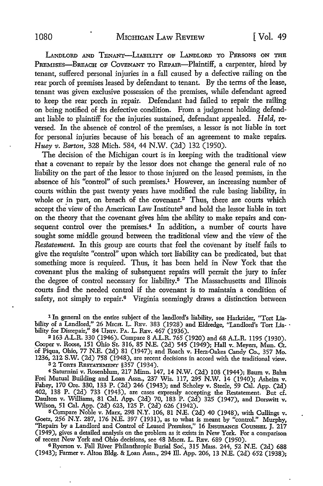LANDLORD AND TENANT-LIABILITY OF LANDLORD TO PERSONS ON THE PREMISES-BREACH OF COVENANT TO REPAIR-Plaintiff, a carpenter, hired by tenant, suffered personal injuries in a fall caused by a defective railing on the rear porch of premises leased by defendant to tenant. By the terms of the lease, tenant was given exclusive possession of the premises, while defendant agreed to keep the rear porch in repair. Defendant had failed to repair the railing on being notified of its defective condition. From a judgment holding defendant liable to plaintiff for the injuries sustained; defendant appealed. *Held,* reversed. In the absence of control of the premises, a lessor is not liable in tort for personal injuries because of his breach of an agreement to make repairs. *Huey v. Barton,* 328 Mich. 584, 44 N.W. (2d) 132 (1950).

The decision of the Michigan court is in keeping with the traditional view that a covenant to repair by the lessor does not change the general rule of no liability on the part of the lessor to those injured on the leased premises, in the absence of his "control" of such premises.<sup>1</sup> However, an increasing number of courts within the past twenty years have modified the rule basing liability, in whole or in part, on breach of the covenant.<sup>2</sup> Thus, there are courts which accept the view of the American Law Institute<sup>3</sup> and hold the lessor liable in tort on the theory that the covenant gives him the ability to make repairs and consequent control over the premises.<sup>4</sup> In addition, a number of courts have sought some middle ground between the traditional view and the view of the *Restatement.* In this group are courts that feel the covenant by itself fails to give the requisite "control" upon which tort liability can be predicated, but that something more is required. Thus, it has been held in New York that the covenant plus the making of subsequent repairs will permit the jury to infer the degree of control necessary for liability.<sup>5</sup> The Massachusetts and Illinois courts find the needed control if the covenant is to maintain a condition of safety, not simply to repair.<sup>6</sup> Virginia seemingly draws a distinction between

1 In general on the entire subject of the landlord's liability, see Harkrider, "Tort Liability of a Landlord," 26 Mrcn. L. REv. 383 (1928) and Eldredge, "Landlord's Tort Lia- ·<br>bility for Disrepair," 84 Univ. Pa. L. Rev. 467 (1936).

<sup>2</sup>163 A.L.R. 330 (1946). Compare 8 A.L.R. 765 (1920) and 68 A.L.R. ll95 (1930). Cooper v. Roose, 151 Ohio St. 316, 85 N.E. (2d) 545 (1949); Hall v. Meyers, Mun. Ct. of Piqua, Ohio, 77 N.E. (2d) 81 (1947); and Roach v. Herz-Oakes Candy Co., 357 Mo. 1236, 212 S.W. (2d) 758 (1948), are recent decisions in accord with the traditional view. 3 2 TORTS RESTATEMENT §357 (1934).

<sup>4</sup> Saturnini v. Rosenblum, 217 Minn. 147, 14 N.W. (2d) 108 (1944); Baum v. Bahn Frei Mutual Building and Loan Assn., 237 Wis. ll7, 295 N.W. 14 (1940); Asheim v. Fahey, 170 Ore. 330, 133 P. (2d) 246 (1943); and Scholey v. Steele, 59 Cal. App. (2d) 402, 138 P. (2d) 733 (1943), are cases expressly accepting the Restatement. But d. Daulton v. Williams, 81 Cal. App. (2d) 70, 183 P. (2d) 325 (1947), and Dorswitt v. Wilson, 51 Cal. App. (2d) 623, 125 P. (2d) 626 (1942).

<sup>5</sup>Compare Noble v. Marx, 298 N.Y. 106, 81 N.E. (2d) 40 (1948), with Cullings v. Goetz, 256 N.Y. 287, 176 N.E. 397 (1931), as to what is meant by "control." Murphy, "Repairs by a Landlord and Control of Leased Premises," 16 INSURANCE COUNSEL J. 217 (1949), gives a detailed analysis on the problem as it exists in New York. For a comparison of recent New York and Ohio decisions, see 48 MrcH. L. REv. 689 (1950).

<sup>6</sup>Ryerson v. Fall River Philanthropic Burial Soc., 315 Mass. 244, 52 N.E. (2d) 688 (1943); Farmer v. Alton Bldg. & Loan Assn., 294 ill. App. 206, 13 N.E. (2d) 652 (1938);